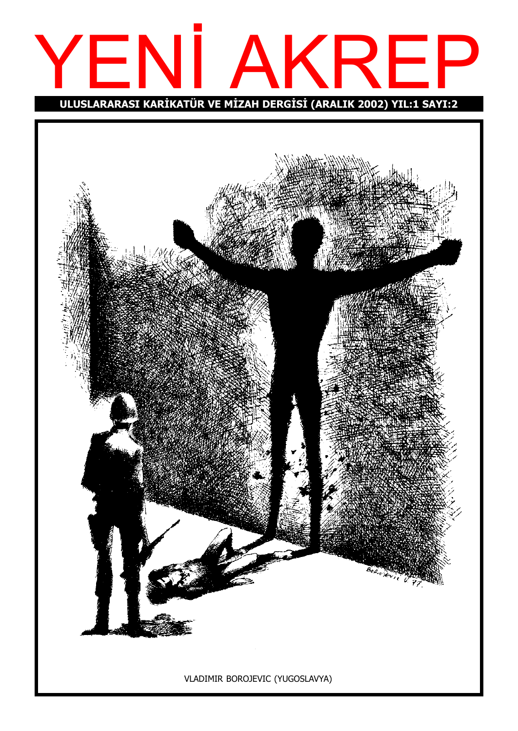# YENI AKREP ULUSLARARASI KARİKATÜR VE MİZAH DERGİSİ (ARALIK 2002) YIL:1 SAYI:2

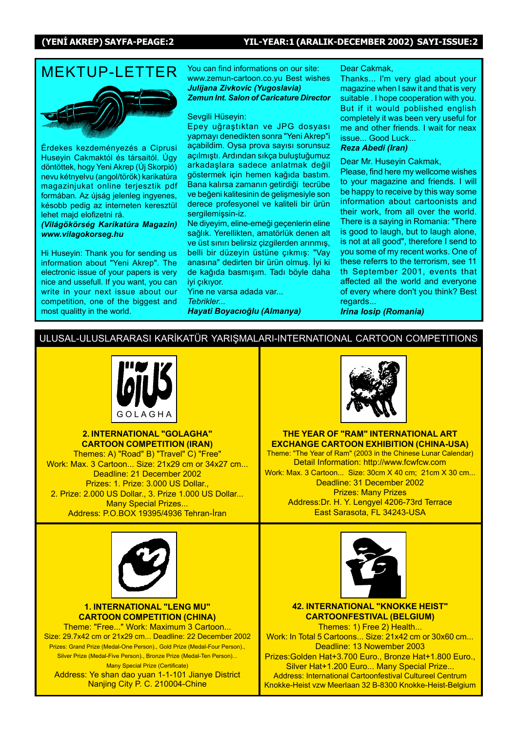# MEKTUP-I FTTFR You can find informations on our site:

Érdekes kezdeményezés a Ciprusi Huseyin Cakmaktól és társaitól. Úgy döntöttek, hogy Yeni Akrep (Új Skorpió) nevu kétnyelvu (angol/török) karikatúra magazinjukat online terjesztik pdf formában. Az újság jelenleg ingyenes, késobb pedig az interneten keresztül lehet majd elofizetni rá.

(Világökörség Karikatúra Magazin) www.vilagokorseg.hu

Hi Huseyin: Thank you for sending us information about "Yeni Akrep". The electronic issue of your papers is very nice and ussefull. If you want, you can write in your next issue about our competition, one of the biggest and most qualitty in the world.

www.zemun-cartoon.co.yu Best wishes Julijana Zivkovic (Yugoslavia) Zemun Int. Salon of Caricature Director

#### Sevgili Hüseyin:

Epey uğraştıktan ve JPG dosyası yapmayı denedikten sonra "Yeni Akrep"i açabildim. Oysa prova sayısı sorunsuz açılmıştı. Ardından sıkça buluştuğumuz arkadaslara sadece anlatmak değil göstermek için hemen kağıda bastım. Bana kalırsa zamanın getirdiği tecrübe ve beğeni kalitesinin de gelişmesiyle son derece profesyonel ve kaliteli bir ürün sergilemişsin-iz.

Ne diyeyim, eline-emeği geçenlerin eline sağlık. Yerellikten, amatörlük denen alt ve üst sınırı belirsiz çizgilerden arınmış, belli bir düzeyin üstüne çıkmış: "Vay anasına" dedirten bir ürün olmuş. İyi ki de kağıda başmısım. Tadı böyle daha iyi çıkıyor.

Yine ne varsa adada var... Tebrikler... Hayati Boyacıoğlu (Almanya)

#### Dear Cakmak,

Thanks... I'm very glad about your magazine when I saw it and that is very suitable . I hope cooperation with you. But if it would poblished english completely it was been very useful for me and other friends. I wait for neax issue... Good Luck...

#### Reza Abedi (Iran)

Dear Mr. Huseyin Cakmak,

Please, find here my wellcome wishes to your magazine and friends. I will be happy to receive by this way some information about cartoonists and their work, from all over the world. There is a saying in Romania: "There is good to laugh, but to laugh alone, is not at all good", therefore I send to you some of my recent works. One of these referrs to the terrorism, see 11 th September 2001, events that affected all the world and everyone of every where don't you think? Best regards...

Irina Iosip (Romania)

#### ULUSAL-ULUSLARARASI KARİKATÜR YARIŞMALARI-INTERNATIONAL CARTOON COMPETITIONS



2. INTERNATIONAL "GOLAGHA" CARTOON COMPETITION (IRAN)

Themes: A) "Road" B) "Travel" C) "Free" Work: Max. 3 Cartoon... Size: 21x29 cm or 34x27 cm... Deadline: 21 December 2002 Prizes: 1. Prize: 3.000 US Dollar., 2. Prize: 2.000 US Dollar., 3. Prize 1.000 US Dollar... Many Special Prizes... Address: P.O.BOX 19395/4936 Tehran-İran



#### 1. INTERNATIONAL "LENG MU" CARTOON COMPETITION (CHINA)

Theme: "Free..." Work: Maximum 3 Cartoon... Size: 29.7x42 cm or 21x29 cm... Deadline: 22 December 2002 Prizes: Grand Prize (Medal-One Person)., Gold Prize (Medal-Four Person)., Silver Prize (Medal-Five Person)., Bronze Prize (Medal-Ten Person)... Many Special Prize (Certificate) Address: Ye shan dao yuan 1-1-101 Jianye District

Nanjing City P. C. 210004-Chine



THE YEAR OF "RAM" INTERNATIONAL ART EXCHANGE CARTOON EXHIBITION (CHINA-USA)

Theme: "The Year of Ram" (2003 in the Chinese Lunar Calendar) Detail Information: http://www.fcwfcw.com Work: Max. 3 Cartoon... Size: 30cm X 40 cm; 21cm X 30 cm... Deadline: 31 December 2002 Prizes: Many Prizes Address:Dr. H. Y. Lengyel 4206-73rd Terrace East Sarasota, FL 34243-USA



42. INTERNATIONAL "KNOKKE HEIST" CARTOONFESTIVAL (BELGIUM)

Themes: 1) Free 2) Health... Work: In Total 5 Cartoons... Size: 21x42 cm or 30x60 cm... Deadline: 13 Nowember 2003 Prizes:Golden Hat+3.700 Euro., Bronze Hat+1.800 Euro., Silver Hat+1.200 Euro... Many Special Prize... Address: International Cartoonfestival Cultureel Centrum Knokke-Heist vzw Meerlaan 32 B-8300 Knokke-Heist-Belgium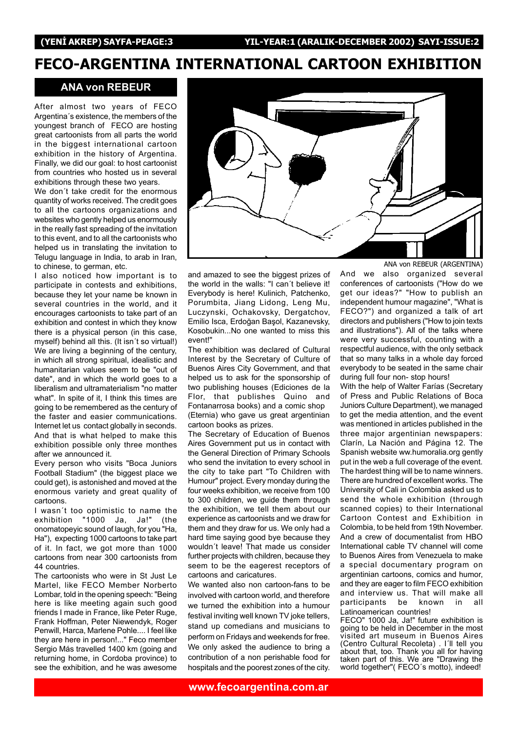## FECO-ARGENTINA INTERNATIONAL CARTOON EXHIBITION

#### ANA von REBEUR

After almost two years of FECO Argentina's existence, the members of the youngest branch of FECO are hosting great cartoonists from all parts the world in the biggest international cartoon exhibition in the history of Argentina. Finally, we did our goal: to host cartoonist from countries who hosted us in several exhibitions through these two years.

We don't take credit for the enormous quantity of works received. The credit goes to all the cartoons organizations and websites who gently helped us enormously in the really fast spreading of the invitation to this event, and to all the cartoonists who helped us in translating the invitation to Telugu language in India, to arab in Iran, to chinese, to german, etc.

I also noticed how important is to participate in contests and exhibitions, because they let your name be known in several countries in the world, and it encourages cartoonists to take part of an exhibition and contest in which they know there is a physical person (in this case, myself) behind all this. (It isn't so virtual!) We are living a beginning of the century, in which all strong spiritual, idealistic and humanitarian values seem to be "out of date", and in which the world goes to a liberalism and ultramaterialism "no matter what". In spite of it, I think this times are going to be remembered as the century of the faster and easier communications. Internet let us contact globally in seconds. And that is what helped to make this exhibition possible only three monthes after we announced it.

Every person who visits "Boca Juniors Football Stadium" (the biggest place we could get), is astonished and moved at the enormous variety and great quality of cartoons.

I wasn't too optimistic to name the exhibition "1000 Ja, Ja!" (the onomatopeyic sound of laugh, for you "Ha, Ha"), expecting 1000 cartoons to take part of it. In fact, we got more than 1000 cartoons from near 300 cartoonists from 44 countries.

The cartoonists who were in St Just Le Martel, like FECO Member Norberto Lombar, told in the opening speech: "Being here is like meeting again such good friends I made in France, like Peter Ruge, Frank Hoffman, Peter Niewendyk, Roger Penwill, Harca, Marlene Pohle.... I feel like they are here in person!..." Feco member Sergio Más travelled 1400 km (going and returning home, in Cordoba province) to see the exhibition, and he was awesome



and amazed to see the biggest prizes of the world in the walls: "I can't believe it! Everybody is here! Kulinich, Patchenko, Porumbita, Jiang Lidong, Leng Mu, Luczynski, Ochakovsky, Dergatchov, Emilio Isca, Erdoðan Ba˛ol, Kazanevsky, Kosobukin...No one wanted to miss this event!"

The exhibition was declared of Cultural Interest by the Secretary of Culture of Buenos Aires City Government, and that helped us to ask for the sponsorship of two publishing houses (Ediciones de la Flor, that publishes Quino and Fontanarrosa books) and a comic shop (Eternia) who gave us great argentinian cartoon books as prizes.

The Secretary of Education of Buenos Aires Government put us in contact with the General Direction of Primary Schools who send the invitation to every school in the city to take part "To Children with Humour" project. Every monday during the four weeks exhibition, we receive from 100 to 300 children, we guide them through the exhibition, we tell them about our experience as cartoonists and we draw for them and they draw for us. We only had a hard time saying good bye because they wouldn't leave! That made us consider further projects with children, because they seem to be the eagerest receptors of cartoons and caricatures.

We wanted also non cartoon-fans to be involved with cartoon world, and therefore we turned the exhibition into a humour festival inviting well known TV joke tellers, stand up comedians and musicians to perform on Fridays and weekends for free. We only asked the audience to bring a contribution of a non perishable food for hospitals and the poorest zones of the city.

ANA von REBEUR (ARGENTINA)

And we also organized several conferences of cartoonists ("How do we get our ideas?" "How to publish an independent humour magazine", "What is FECO?") and organized a talk of art directors and publishers ("How to join texts and illustrations"). All of the talks where were very successful, counting with a respectful audience, with the only setback that so many talks in a whole day forced everybody to be seated in the same chair during full four non- stop hours!

With the help of Walter Farías (Secretary of Press and Public Relations of Boca Juniors Culture Department), we managed to get the media attention, and the event was mentioned in articles published in the three major argentinian newspapers: Clarín, La Nación and Página 12. The Spanish website ww.humoralia.org gently put in the web a full coverage of the event. The hardest thing will be to name winners. There are hundred of excellent works. The University of Cali in Colombia asked us to send the whole exhibition (through scanned copies) to their International Cartoon Contest and Exhibition in Colombia, to be held from 19th November. And a crew of documentalist from HBO International cable TV channel will come to Buenos Aires from Venezuela to make a special documentary program on argentinian cartoons, comics and humor, and they are eager to film FECO exhibition and interview us. That will make all participants be known in all Latinoamerican countries!

FECO" 1000 Ja, Ja!" future exhibition is going to be held in December in the most visited art museum in Buenos Aires (Centro Cultural Recoleta) . I'll tell you about that, too. Thank you all for having taken part of this. We are "Drawing the world together"( FECO's motto), indeed!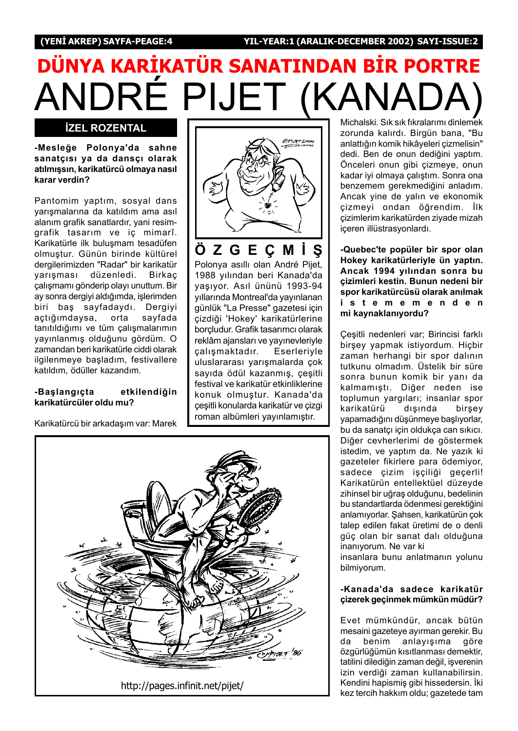# ANDRÉ PIJET (KANA DÜNYA KARİKATÜR SANATINDAN BİR PORTRE

### **İZEL ROZENTAL**

-Mesleðe Polonya'da sahne sanatçısı ya da dansçı olarak atılmışsın, karikatürcü olmaya nasıl karar verdin?

Pantomim yaptım, sosyal dans varismalarına da katıldım ama asıl alanım grafik sanatlardır, yani resimgrafik tasarım ve iç mimarî. Karikatürle ilk buluşmam tesadüfen olmuştur. Günün birinde kültürel dergilerimizden "Radar" bir karikatür yarışması düzenledi. Birkaç çalışmamı gönderip olayı unuttum. Bir ay sonra dergiyi aldığımda, işlerimden biri baş sayfadaydı. Dergiyi açtığımdaysa, orta sayfada tanıtıldığımı ve tüm çalışmalarımın yayınlanmış olduğunu gördüm. O zamandan beri karikatürle ciddi olarak ilgilenmeye başladım, festivallere katıldım, ödüller kazandım.

#### -Baslangıcta etkilendiğin karikatürcüler oldu mu?

Karikatürcü bir arkadaşım var: Marek



ÖZGECMIS Polonya asıllı olan André Pijet, 1988 yılından beri Kanada'da vasıyor. Asıl ününü 1993-94 yıllarında Montreal'da yayınlanan günlük "La Presse" gazetesi için cizdiği 'Hokey' karikatürlerine borçludur. Grafik tasarımcı olarak reklâm ajansları ve yayınevleriyle calışmaktadır. Eserleriyle uluslararası yarışmalarda çok sayıda ödül kazanmış, çeşitli festival ve karikatür etkinliklerine konuk olmu˛tur. Kanada'da çeşitli konularda karikatür ve çizgi roman albümleri yayınlamıştır.



Michalski. Sık sık fıkralarımı dinlemek zorunda kalırdı. Birgün bana, "Bu anlattığın komik hikâyeleri çizmelisin" dedi. Ben de onun dediğini yaptım. Önceleri onun gibi çizmeye, onun kadar iyi olmaya calıştım. Sonra ona benzemem gerekmediğini anladım. Ancak yine de yalın ve ekonomik çizmeyi ondan öğrendim. İlk çizimlerim karikatürden ziyade mizah içeren illüstrasyonlardı.

-Quebec'te popüler bir spor olan Hokey karikatürleriyle ün yaptın. Ancak 1994 yılından sonra bu çizimleri kestin. Bunun nedeni bir spor karikatürcüsü olarak anılmak istememenden mi kaynaklanıyordu?

Cesitli nedenleri var; Birincisi farklı birşey yapmak istiyordum. Hiçbir zaman herhangi bir spor dalının tutkunu olmadım. Üstelik bir süre sonra bunun komik bir yanı da kalmamıştı. Diğer neden ise toplumun yargıları; insanlar spor karikatürü dısında birsey vapamadığını düşünmeye başlıyorlar, bu da sanatçı için oldukça can sıkıcı. Diğer cevherlerimi de göstermek istedim, ve yaptım da. Ne yazık ki gazeteler fikirlere para ödemiyor, sadece çizim işçiliği geçerli! Karikatürün entellektüel düzeyde zihinsel bir uğraş olduğunu, bedelinin bu standartlarda ödenmesi gerektiğini anlamıyorlar. Şahsen, karikatürün çok talep edilen fakat üretimi de o denli güç olan bir sanat dalı olduğuna inanıyorum. Ne var ki

insanlara bunu anlatmanın yolunu bilmiyorum.

#### -Kanada'da sadece karikatür çizerek geçinmek mümkün müdür?

Evet mümkündür, ancak bütün mesaini gazeteye ayırman gerekir. Bu da benim anlayışıma göre özgürlüğümün kısıtlanması demektir, tatilini dilediğin zaman değil, işverenin izin verdiði zaman kullanabilirsin. Kendini hapismiş gibi hissedersin. İki kez tercih hakkım oldu; gazetede tam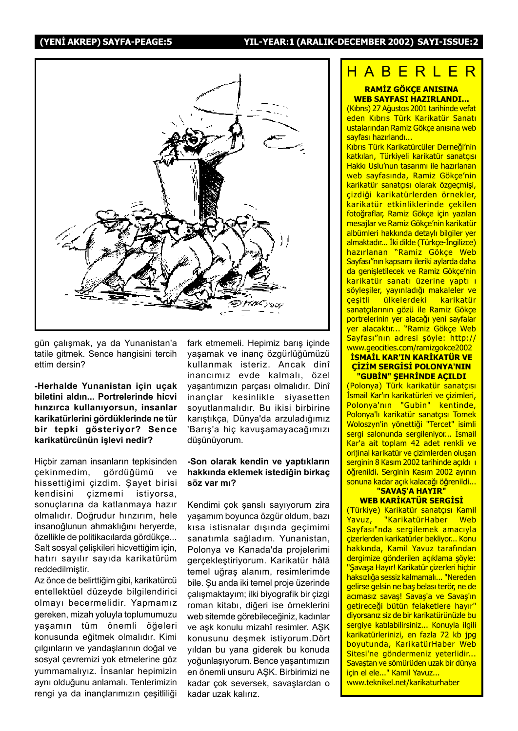

gün çalışmak, ya da Yunanistan'a tatile gitmek. Sence hangisini tercih ettim dersin?

#### -Herhalde Yunanistan için uçak biletini aldın... Portrelerinde hicvi hınzırca kullanıyorsun, insanlar karikatürlerini gördüklerinde ne tür bir tepki gösteriyor? Sence karikatürcünün işlevi nedir?

Hiçbir zaman insanların tepkisinden çekinmedim, gördüğümü ve hissettiğimi çizdim. Şayet birisi kendisini çizmemi istiyorsa, sonuçlarına da katlanmaya hazır olmalıdır. Doğrudur hınzırım, hele insanoğlunun ahmaklığını heryerde, özellikle de politikacılarda gördükçe... Salt sosyal çelişkileri hicvettiğim için, hatırı sayılır sayıda karikatürüm reddedilmiştir.

Az önce de belirttiğim gibi, karikatürcü entellektüel düzeyde bilgilendirici olmayı becermelidir. Yapmamız gereken, mizah yoluyla toplumumuzu yaşamın tüm önemli öğeleri konusunda eğitmek olmalıdır. Kimi çılgınların ve yandaşlarının doğal ve sosyal çevremizi yok etmelerine göz yummamalıyız. İnsanlar hepimizin aynı olduğunu anlamalı. Tenlerimizin rengi ya da inanclarımızın çeşitliliği fark etmemeli. Hepimiz barış içinde yaşamak ve inanç özgürlüğümüzü kullanmak isteriz. Ancak dinî inancımız evde kalmalı, özel yaşantımızın parçası olmalıdır. Dinî inançlar kesinlikle siyasetten soyutlanmalıdır. Bu ikisi birbirine karıştıkça, Dünya'da arzuladığımız 'Barış'a hiç kavuşamayacağımızı düşünüyorum.

#### -Son olarak kendin ve yaptıkların hakkında eklemek istediğin birkaç söz var mı?

Kendimi çok şanslı sayıyorum zira yaşamım boyunca özgür oldum, bazı kısa istisnalar dışında geçimimi sanatımla sağladım. Yunanistan, Polonya ve Kanada'da projelerimi gerçekleştiriyorum. Karikatür hâlâ temel uğraş alanım, resimlerimde bile. Şu anda iki temel proje üzerinde çalışmaktayım; ilki biyografik bir çizgi roman kitabı, diğeri ise örneklerini web sitemde görebileceğiniz, kadınlar ve aşk konulu mizahî resimler. AŞK konusunu deşmek istiyorum.Dört yıldan bu yana giderek bu konuda yoğunlaşıyorum. Bence yaşantımızın en önemli unsuru ASK. Birbirimizi ne kadar çok seversek, savaşlardan o kadar uzak kalırız.

# HABERLER

#### RAMİZ GÖKCE ANISINA WEB SAYFASI HAZIRLANDI...

(Kıbrıs) 27 Ağustos 2001 tarihinde vefat eden Kıbrıs Türk Karikatür Sanatı ustalarından Ramiz Gökçe anısına web sayfası hazırlandı...

Kıbrıs Türk Karikatürcüler Derneği'nin katkıları, Türkiyeli karikatür sanatçısı Hakkı Uslu'nun tasarımı ile hazırlanan web sayfasında, Ramiz Gökçe'nin karikatür sanatçısı olarak özgeçmisi, cizdiği karikatürlerden örnekler, karikatür etkinliklerinde çekilen fotoğraflar, Ramiz Gökçe için yazılan mesajlar ve Ramiz Gökçe'nin karikatür albümleri hakkında detaylı bilgiler yer almaktadır... İki dilde (Türkçe-İngilizce) hazırlanan "Ramiz Gökçe Web Sayfası"nın kapsamı ileriki aylarda daha da genişletilecek ve Ramiz Gökçe'nin karikatür sanatı üzerine yaptı ı söyleşiler, yayınladığı makaleler ve çeşitli ülkelerdeki karikatür sanatçılarının gözü ile Ramiz Gökçe portrelerinin yer alacağı yeni sayfalar yer alacaktır... "Ramiz Gökçe Web Sayfası"nın adresi şöyle: http:// www.geocities.com/ramizgokce2002

#### **ISMAIL KAR'IN KARIKATÜR VE** CİZİM SERGİSİ POLONYA'NIN <u>"GUBİN" ŞEHRİNDE AÇILDI </u>

(Polonya) Türk karikatür sanatçısı İsmail Kar'ın karikatürleri ve çizimleri, Polonya'nın "Gubin" kentinde, Polonya'lı karikatür sanatçısı Tomek Woloszyn'in yönettiği "Tercet" isimli sergi salonunda sergileniyor... İsmail Kar'a ait toplam 42 adet renkli ve orijinal karikatür ve çizimlerden oluşan serginin 8 Kasım 2002 tarihinde açıldı ı öğrenildi. Serginin Kasım 2002 ayının sonuna kadar açık kalacağı öğrenildi...

#### "SAVAŞ'A HAYIR" **WEB KARİKATÜR SERGİSİ**

(Türkiye) Karikatür sanatçısı Kamil Yavuz, "KarikatürHaber Web Sayfası"nda sergilemek amacıyla cizerlerden karikatürler bekliyor... Konu hakkında, Kamil Yavuz tarafından dergimize gönderilen açıklama şöyle: "Şavaşa Hayır! Karikatür çizerleri hiçbir haksızlığa sessiz kalmamalı... "Nereden gelirse gelsin ne baş belası terör, ne de acımasız savaş! Savaş'a ve Savaş'ın getireceği bütün felaketlere hayır" diyorsanız siz de bir karikatürünüzle bu sergiye katılabilirsiniz... Konuyla ilgili karikatürlerinizi, en fazla 72 kb jpg boyutunda, KarikatürHaber Web Sitesi'ne göndermeniz yeterlidir... Savastan ve sömürüden uzak bir dünya için el ele..." Kamil Yavuz... www.teknikel.net/karikaturhaber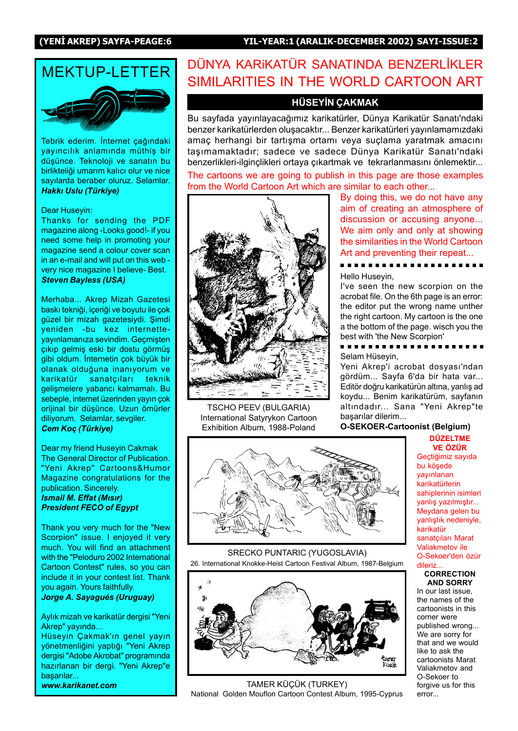#### (YENİ AKREP) SAYFA-PEAGE:6 YIL-YEAR:1 (ARALIK-DECEMBER 2002) SAYI-ISSUE:2

# MFKTUP-I FTTFR

Tebrik ederim. İnternet çağındaki yayıncılık anlamında müthiş bir düşünce. Teknoloji ve sanatın bu birlikteliði umarím kalící olur ve nice sayılarda beraber oluruz. Selamlar. Hakkı Uslu (Türkiye)

#### Dear Huseyin:

Thanks for sending the PDF magazine along -Looks good!- if you need some help in promoting your magazine send a colour cover scan in an e-mail and will put on this web very nice magazine I believe- Best. Steven Bayless (USA)

Merhaba... Akrep Mizah Gazetesi baskı tekniği, içeriği ve boyutu ile çok güzel bir mizah gazetesiydi. Şimdi yeniden -bu kez internetteyayınlamanıza sevindim. Geçmişten çıkıp gelmiş eski bir dostu görmüş gibi oldum. İnternetin çok büyük bir olanak olduğuna inanıyorum ve karikatür sanatçıları teknik gelişmelere yabancı kalmamalı. Bu sebeple, internet üzerinden yayın çok orijinal bir düşünce. Uzun ömürler diliyorum. Selamlar, sevgiler. Cem Koç (Türkiye)

Dear my friend Huseyin Cakmak The General Director of Publication. "Yeni Akrep" Cartoons&Humor Magazine congratulations for the publication. Sincerely. **Ismail M. Effat (Mısır)** President FECO of Egypt

Thank you very much for the "New Scorpion" issue. I enjoyed it very much. You will find an attachment with the "Peloduro 2002 International Cartoon Contest" rules, so you can include it in your contest list. Thank you again. Yours faithfully. Jorge A. Sayagués (Uruguay)

Aylık mizah ve karikatür dergisi "Yeni Akrep" yayında...

Hüseyin Çakmak'ın genel yayın yönetmenliğini yaptığı "Yeni Akrep dergisi "Adobe Akrobat" programında hazırlanan bir dergi. "Yeni Akrep"e basarılar...

www.karikanet.com

## DÜNYA KARIKATÜR SANATINDA BENZERLİKLER SIMILARITIES IN THE WORLD CARTOON ART

#### HÜSEYİN ÇAKMAK

Bu sayfada yayınlayacağımız karikatürler, Dünya Karikatür Sanatı'ndaki benzer karikatürlerden oluşacaktır... Benzer karikatürleri yayınlamamızdaki amaç herhangi bir tartışma ortamı veya suçlama yaratmak amacını tasımamaktadır; sadece ve sadece Dünya Karikatür Sanatı'ndaki benzerlikleri-ilginçlikleri ortaya çıkartmak ve tekrarlanmasını önlemektir...

The cartoons we are going to publish in this page are those examples from the World Cartoon Art which are similar to each other...



TSCHO PEEV (BULGARIA) International Satyrykon Cartoon Exhibition Album, 1988-Poland

By doing this, we do not have any aim of creating an atmosphere of discussion or accusing anyone... We aim only and only at showing the similarities in the World Cartoon Art and preventing their repeat...

Hello Huseyin,

I've seen the new scorpion on the acrobat file. On the 6th page is an error: the editor put the wrong name unther the right cartoon. My cartoon is the one a the bottom of the page. wisch you the best with 'the New Scorpion'

#### . . . . . Selam Hüsevin,

Yeni Akrep'i acrobat dosyası'ndan gördüm... Sayfa 6'da bir hata var... Editör doğru karikatürün altına, yanlış ad koydu... Benim karikatürüm, sayfanın altındadır... Sana "Yeni Akrep"te başarılar dilerim...

#### O-SEKOER-Cartoonist (Belgium)

**DÜZELTME VE ÖZÜR** 



SRECKO PUNTARIC (YUGOSLAVIA) 26. International Knokke-Heist Cartoon Festival Album, 1987-Belgium



TAMER KÜÇÜK (TURKEY) National Golden Mouflon Cartoon Contest Album, 1995-Cyprus

Gectiğimiz sayıda bu kösede vavinlanan karikatürlerin sahiplerinin isimleri yanlış yazılmıştır... Meydana gelen bu yanlışlık nedeniyle, karikatür sanatçıları Marat Valiakmetov ile O-Sekoer'den özür dileriz.

#### **CORRECTION** AND SORRY

In our last issue, the names of the cartoonists in this corner were published wrong... We are sorry for that and we would like to ask the cartoonists Marat Valiakmetov and O-Sekoer to forgive us for this error...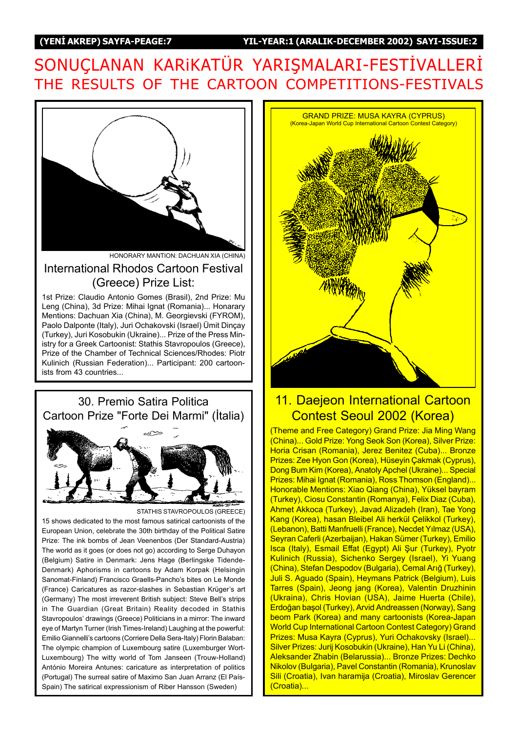# SONUCLANAN KARIKATÜR YARIŞMALARI-FESTİVALLERİ THE RESULTS OF THE CARTOON COMPETITIONS-FESTIVALS



HONORARY MANTION: DACHUAN XIA (CHINA)

### International Rhodos Cartoon Festival (Greece) Prize List:

1st Prize: Claudio Antonio Gomes (Brasil), 2nd Prize: Mu Leng (China), 3d Prize: Mihai Ignat (Romania)... Honarary Mentions: Dachuan Xia (China), M. Georgievski (FYROM), Paolo Dalponte (Italy), Juri Ochakovski (Israel) Ümit Dinçay (Turkey), Juri Kosobukin (Ukraine)... Prize of the Press Ministry for a Greek Cartoonist: Stathis Stavropoulos (Greece), Prize of the Chamber of Technical Sciences/Rhodes: Piotr Kulinich (Russian Federation)... Participant: 200 cartoonists from 43 countries...



STATHIS STAVROPOULOS (GREECE)

15 shows dedicated to the most famous satirical cartoonists of the European Union, celebrate the 30th birthday of the Political Satire Prize: The ink bombs of Jean Veenenbos (Der Standard-Austria) The world as it goes (or does not go) according to Serge Duhayon (Belgium) Satire in Denmark: Jens Hage (Berlingske Tidende-Denmark) Aphorisms in cartoons by Adam Korpak (Helsingin Sanomat-Finland) Francisco Graells-Panchoís bites on Le Monde (France) Caricatures as razor-slashes in Sebastian Krüger's art (Germany) The most irreverent British subject: Steve Bellís strips in The Guardian (Great Britain) Reality decoded in Stathis Stavropoulos' drawings (Greece) Politicians in a mirror: The inward eye of Martyn Turner (Irish Times-Ireland) Laughing at the powerful: Emilio Giannelliís cartoons (Corriere Della Sera-Italy) Florin Balaban: The olympic champion of Luxembourg satire (Luxemburger Wort-Luxembourg) The witty world of Tom Janseen (Trouw-Holland) António Moreira Antunes: caricature as interpretation of politics (Portugal) The surreal satire of Maximo San Juan Arranz (El País-Spain) The satirical expressionism of Riber Hansson (Sweden)



## 11. Daejeon International Cartoon Contest Seoul 2002 (Korea)

(Theme and Free Category) Grand Prize: Jia Ming Wang (China)... Gold Prize: Yong Seok Son (Korea), Silver Prize: Horia Crisan (Romania), Jerez Benitez (Cuba)... Bronze Prizes: Zee Hyon Gon (Korea), Hüseyin Çakmak (Cyprus), Dong Bum Kim (Korea), Anatoly Apchel (Ukraine)... Special Prizes: Mihai Ignat (Romania), Ross Thomson (England)... Honorable Mentions: Xiao Qiang (China), Yüksel bayram (Turkey), Ciosu Constantin (Romanya), Felix Diaz (Cuba), Ahmet Akkoca (Turkey), Javad Alizadeh (Iran), Tae Yong Kang (Korea), hasan Bleibel Ali herkül Çelikkol (Turkey), (Lebanon), Batti Manfruelli (France), Necdet Yılmaz (USA), Seyran Caferli (Azerbaijan), Hakan Sümer (Turkey), Emilio Isca (Italy), Esmail Effat (Egypt) Ali Şur (Turkey), Pyotr Kulinich (Russia), Sichenko Sergey (Israel), Yi Yuang (China), Stefan Despodov (Bulgaria), Cemal Arığ (Turkey), Juli S. Aguado (Spain), Heymans Patrick (Belgium), Luis Tarres (Spain), Jeong jang (Korea), Valentin Druzhinin (Ukraina), Chris Hovian (USA), Jaime Huerta (Chile), Erdoðan ba˛ol (Turkey), Arvid Andreassen (Norway), Sang beom Park (Korea) and many cartoonists (Korea-Japan World Cup International Cartoon Contest Category) Grand Prizes: Musa Kayra (Cyprus), Yuri Ochakovsky (Israel)... Silver Prizes: Jurij Kosobukin (Ukraine), Han Yu Li (China), Aleksander Zhabin (Belarussia)... Bronze Prizes: Dechko Nikolov (Bulgaria), Pavel Constantin (Romania), Krunoslav Sili (Croatia), Ivan haramija (Croatia), Miroslav Gerencer (Croatia)...